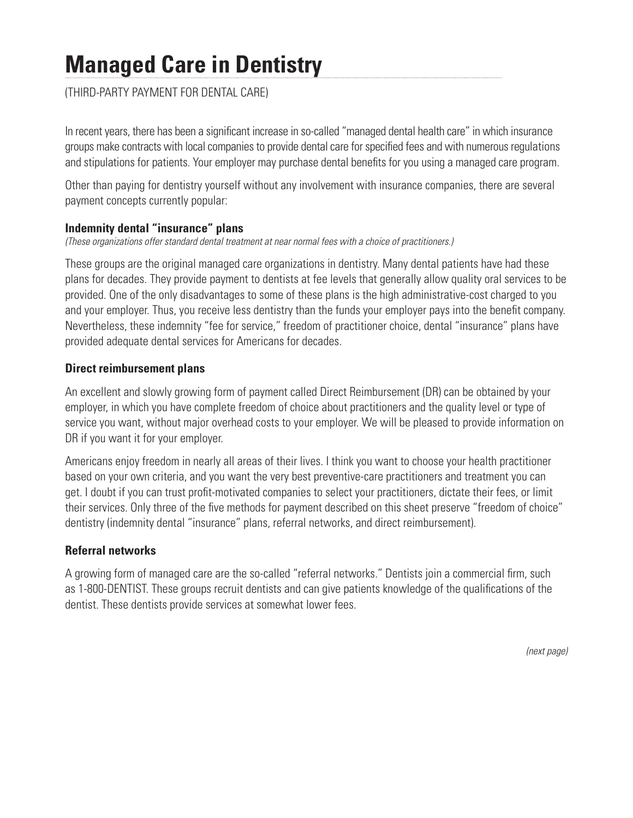# **Managed Care in Dentistry**

(THIRD-PARTY PAYMENT FOR DENTAL CARE)

In recent years, there has been a significant increase in so-called "managed dental health care" in which insurance groups make contracts with local companies to provide dental care for specified fees and with numerous regulations and stipulations for patients. Your employer may purchase dental benefits for you using a managed care program.

Other than paying for dentistry yourself without any involvement with insurance companies, there are several payment concepts currently popular:

## **Indemnity dental "insurance" plans**

*(These organizations offer standard dental treatment at near normal fees with a choice of practitioners.)*

These groups are the original managed care organizations in dentistry. Many dental patients have had these plans for decades. They provide payment to dentists at fee levels that generally allow quality oral services to be provided. One of the only disadvantages to some of these plans is the high administrative-cost charged to you and your employer. Thus, you receive less dentistry than the funds your employer pays into the benefit company. Nevertheless, these indemnity "fee for service," freedom of practitioner choice, dental "insurance" plans have provided adequate dental services for Americans for decades.

## **Direct reimbursement plans**

An excellent and slowly growing form of payment called Direct Reimbursement (DR) can be obtained by your employer, in which you have complete freedom of choice about practitioners and the quality level or type of service you want, without major overhead costs to your employer. We will be pleased to provide information on DR if you want it for your employer.

Americans enjoy freedom in nearly all areas of their lives. I think you want to choose your health practitioner based on your own criteria, and you want the very best preventive-care practitioners and treatment you can get. I doubt if you can trust profit-motivated companies to select your practitioners, dictate their fees, or limit their services. Only three of the five methods for payment described on this sheet preserve "freedom of choice" dentistry (indemnity dental "insurance" plans, referral networks, and direct reimbursement).

#### **Referral networks**

A growing form of managed care are the so-called "referral networks." Dentists join a commercial firm, such as 1-800-DENTIST. These groups recruit dentists and can give patients knowledge of the qualifications of the dentist. These dentists provide services at somewhat lower fees.

*(next page)*